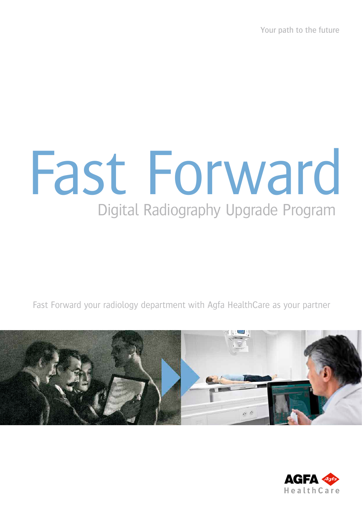Your path to the future

# Digital Radiography Upgrade Program Fast Forward

Fast Forward your radiology department with Agfa HealthCare as your partner



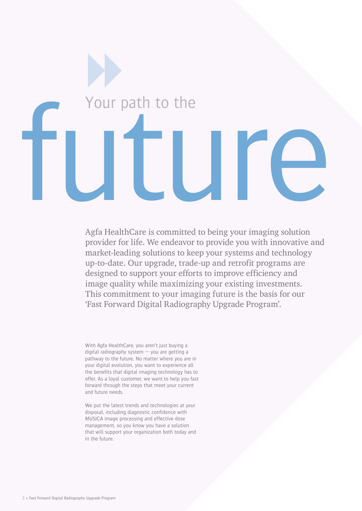

Agfa HealthCare is committed to being your imaging solution provider for life. We endeavor to provide you with innovative and market-leading solutions to keep your systems and technology up-to-date. Our upgrade, trade-up and retrofit programs are designed to support your efforts to improve efficiency and image quality while maximizing your existing investments. This commitment to your imaging future is the basis for our 'Fast Forward Digital Radiography Upgrade Program'.

With Agfa HealthCare, you aren't just buying a digital radiography system — you are getting a pathway to the future. No matter where you are in your digital evolution, you want to experience all the benefits that digital imaging technology has to offer. As a loyal customer, we want to help you fast forward through the steps that meet your current and future needs.

We put the latest trends and technologies at your disposal, including diagnostic confidence with MUSICA image processing and effective dose management, so you know you have a solution that will support your organization both today and in the future.

2 • Fast Forward Digital Radiography Upgrade Program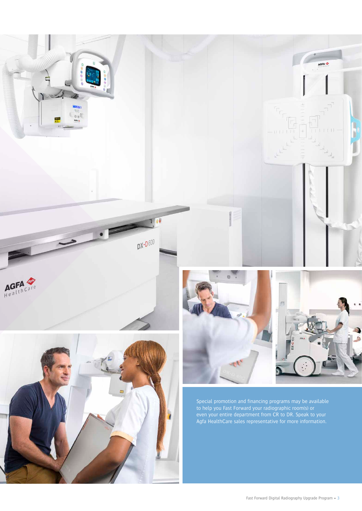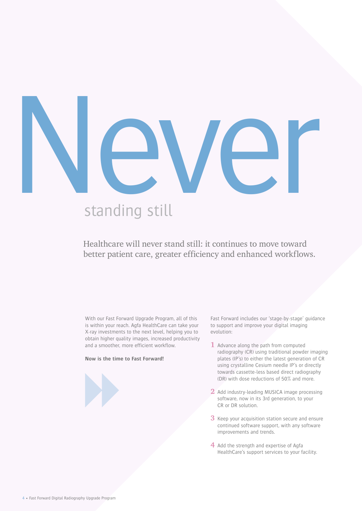

# standing still

## Healthcare will never stand still: it continues to move toward better patient care, greater efficiency and enhanced workflows.

With our Fast Forward Upgrade Program, all of this is within your reach. Agfa HealthCare can take your X-ray investments to the next level, helping you to obtain higher quality images, increased productivity and a smoother, more efficient workflow.

#### **Now is the time to Fast Forward!**

Fast Forward includes our 'stage-by-stage' guidance to support and improve your digital imaging evolution:

- **1** Advance along the path from computed radiography (CR) using traditional powder imaging plates (IP's) to either the latest generation of CR using crystalline Cesium needle IP's or directly towards cassette-less based direct radiography (DR) with dose reductions of 50% and more.
- **2** Add industry-leading MUSICA image processing software, now in its 3rd generation, to your CR or DR solution.
- **3** Keep your acquisition station secure and ensure continued software support, with any software improvements and trends.
- **4** Add the strength and expertise of Agfa HealthCare's support services to your facility.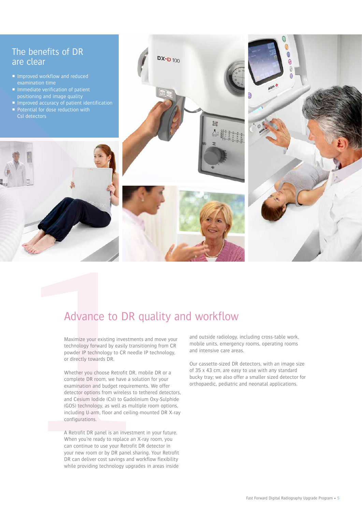## The benefits of DR are clear

- **Improved workflow and reduced**
- positioning and image quality Improved worker and the proved according a method according to the proved according to the proved according to the control of the control of the control of the control of the control of the control of the control of the co
	-
	-



**DX-D** 100

回

Maximize your existing investments and move your technology forward by easily transitioning from CR powder IP technology to CR needle IP technology, or directly towards DR.

**Advance to DR question**<br>
Maximize your existing investments are<br>
technology forward by easily transition<br>
powder IP technology to CR needle IP<br>
or directly towards DR.<br>
Whether you choose Retrofit DR, mobi<br>
complete DR ro Whether you choose Retrofit DR, mobile DR or a complete DR room, we have a solution for your examination and budget requirements. We offer detector options from wireless to tethered detectors, and Cesium Iodide (CsI) to Gadolinium Oxy-Sulphide (GOS) technology, as well as multiple room options, including U-arm, floor and ceiling-mounted DR X-ray configurations.

A Retrofit DR panel is an investment in your future. When you're ready to replace an X-ray room, you can continue to use your Retrofit DR detector in your new room or by DR panel sharing. Your Retrofit DR can deliver cost savings and workflow flexibility while providing technology upgrades in areas inside

and outside radiology, including cross-table work, mobile units, emergency rooms, operating rooms and intensive care areas.

Our cassette-sized DR detectors, with an image size of 35 x 43 cm, are easy to use with any standard bucky tray; we also offer a smaller sized detector for orthopaedic, pediatric and neonatal applications.

e ®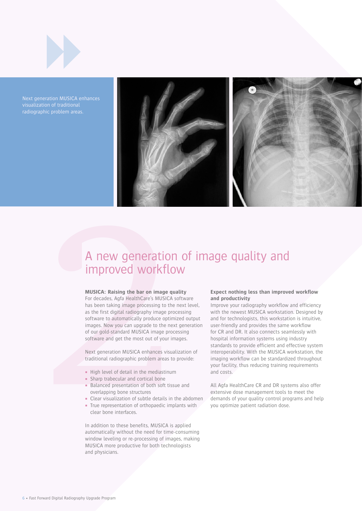

Next generation MUSICA enhances radiographic problem areas.



## A new generation of image quality and improved workflow

#### **MUSICA: Raising the bar on image quality**

**A new generation**<br> **Conserved Server Server Server Server Server Server Server Server Server Server Server Server Server Server Server Server Server Server Server Server Server Server Server Server Server Server Server Se** For decades, Agfa HealthCare's MUSICA software has been taking image processing to the next level, as the first digital radiography image processing software to automatically produce optimized output images. Now you can upgrade to the next generation of our gold-standard MUSICA image processing software and get the most out of your images.

Next generation MUSICA enhances visualization of traditional radiographic problem areas to provide:

- High level of detail in the mediastinum
- **Sharp trabecular and cortical bone**
- Balanced presentation of both soft tissue and overlapping bone structures
- Clear visualization of subtle details in the abdomen
- True representation of orthopaedic implants with clear bone interfaces.

In addition to these benefits, MUSICA is applied automatically without the need for time-consuming window leveling or re-processing of images, making MUSICA more productive for both technologists and physicians.

#### **Expect nothing less than improved workflow and productivity**

Improve your radiography workflow and efficiency with the newest MUSICA workstation. Designed by and for technologists, this workstation is intuitive, user-friendly and provides the same workflow for CR and DR. It also connects seamlessly with hospital information systems using industry standards to provide efficient and effective system interoperability. With the MUSICA workstation, the imaging workflow can be standardized throughout your facility, thus reducing training requirements and costs.

All Agfa HealthCare CR and DR systems also offer extensive dose management tools to meet the demands of your quality control programs and help you optimize patient radiation dose.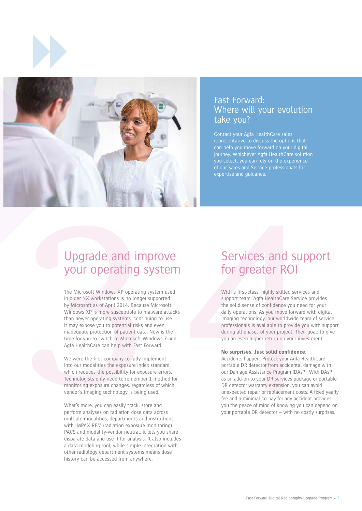



### Fast Forward: Where will your evolution take you?

Contact your Agfa HealthCare sales representative to discuss the options that can help you move forward on your digital journey. Whichever Agfa HealthCare solution expertise and guidance.

## Upgrade and improve your operating system

Upgrade and impliforms Security Constant and the security and the second and the second and the second and the second and the second and the second and the second and the second and the second and the second and the second The Microsoft Windows XP operating system used in older NX workstations is no longer supported by Microsoft as of April 2014. Because Microsoft Windows XP is more susceptible to malware attacks than newer operating systems, continuing to use it may expose you to potential risks and even inadequate protection of patient data. Now is the time for you to switch to Microsoft Windows 7 and Agfa HealthCare can help with Fast Forward.

We were the first company to fully implement into our modalities the exposure index standard, which reduces the possibility for exposure errors. Technologists only need to remember 1 method for monitoring exposure changes, regardless of which vendor's imaging technology is being used.

What's more, you can easily track, store and perform analyses on radiation dose data across multiple modalities, departments and institutions, with IMPAX REM (radiation exposure monitoring). PACS and modality-vendor neutral, it lets you share disparate data and use it for analysis. It also includes a data modeling tool, while simple integration with other radiology department systems means dose history can be accessed from anywhere.

# Services and support for greater ROI

With a first-class, highly skilled services and support team, Agfa HealthCare Service provides the solid sense of confidence you need for your daily operations. As you move forward with digital imaging technology, our worldwide team of service professionals is available to provide you with support during all phases of your project. Their goal: to give you an even higher return on your investment.

#### **No surprises. Just solid confidence.**

Accidents happen. Protect your Agfa HealthCare portable DR detector from accidental damage with our Damage Assistance Program (DAsP). With DAsP as an add-on to your DR services package or portable DR detector warranty extension, you can avoid unexpected repair or replacement costs. A fixed yearly fee and a minimal co-pay for any accident provides you the peace of mind of knowing you can depend on your portable DR detector – with no costly surprises.